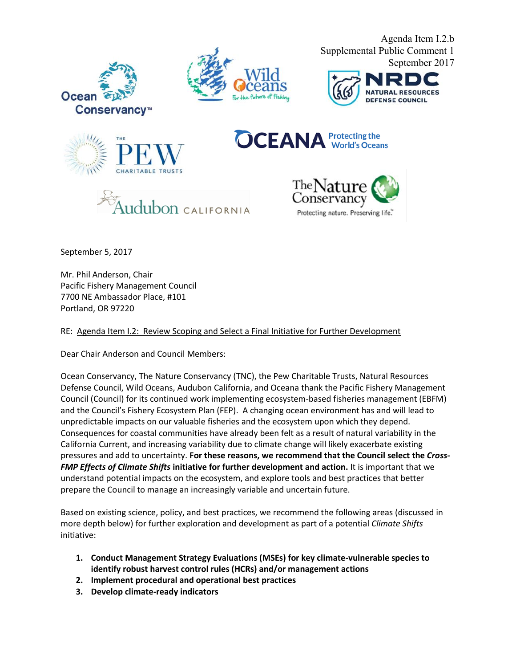







Agenda Item I.2.b



**OCEANA** Protecting the





September 5, 2017

Mr. Phil Anderson, Chair Pacific Fishery Management Council 7700 NE Ambassador Place, #101 Portland, OR 97220

RE: Agenda Item I.2: Review Scoping and Select a Final Initiative for Further Development

Dear Chair Anderson and Council Members:

Ocean Conservancy, The Nature Conservancy (TNC), the Pew Charitable Trusts, Natural Resources Defense Council, Wild Oceans, Audubon California, and Oceana thank the Pacific Fishery Management Council (Council) for its continued work implementing ecosystem-based fisheries management (EBFM) and the Council's Fishery Ecosystem Plan (FEP). A changing ocean environment has and will lead to unpredictable impacts on our valuable fisheries and the ecosystem upon which they depend. Consequences for coastal communities have already been felt as a result of natural variability in the California Current, and increasing variability due to climate change will likely exacerbate existing pressures and add to uncertainty. **For these reasons, we recommend that the Council select the** *Cross-FMP Effects of Climate Shifts* **initiative for further development and action.** It is important that we understand potential impacts on the ecosystem, and explore tools and best practices that better prepare the Council to manage an increasingly variable and uncertain future.

Based on existing science, policy, and best practices, we recommend the following areas (discussed in more depth below) for further exploration and development as part of a potential *Climate Shifts*  initiative:

- **1. Conduct Management Strategy Evaluations (MSEs) for key climate-vulnerable species to identify robust harvest control rules (HCRs) and/or management actions**
- **2. Implement procedural and operational best practices**
- **3. Develop climate-ready indicators**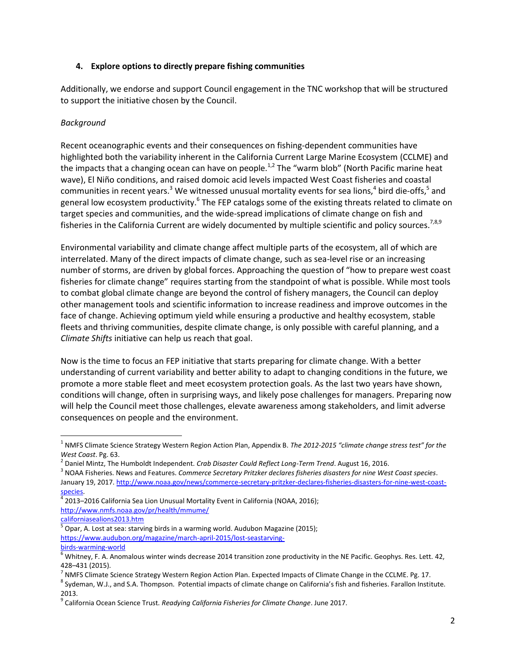#### **4. Explore options to directly prepare fishing communities**

Additionally, we endorse and support Council engagement in the TNC workshop that will be structured to support the initiative chosen by the Council.

## *Background*

Recent oceanographic events and their consequences on fishing-dependent communities have highlighted both the variability inherent in the California Current Large Marine Ecosystem (CCLME) and the impacts that a changing ocean can have on people.<sup>1,2</sup> The "warm blob" (North Pacific marine heat wave), El Niño conditions, and raised domoic acid levels impacted West Coast fisheries and coastal communities in recent years.<sup>3</sup> We witnessed unusual mortality events for sea lions,<sup>4</sup> bird die-offs,<sup>5</sup> and general low ecosystem productivity.<sup>6</sup> The FEP catalogs some of the existing threats related to climate on target species and communities, and the wide-spread implications of climate change on fish and fisheries in the California Current are widely documented by multiple scientific and policy sources.<sup>7,8,9</sup>

Environmental variability and climate change affect multiple parts of the ecosystem, all of which are interrelated. Many of the direct impacts of climate change, such as sea-level rise or an increasing number of storms, are driven by global forces. Approaching the question of "how to prepare west coast fisheries for climate change" requires starting from the standpoint of what is possible. While most tools to combat global climate change are beyond the control of fishery managers, the Council can deploy other management tools and scientific information to increase readiness and improve outcomes in the face of change. Achieving optimum yield while ensuring a productive and healthy ecosystem, stable fleets and thriving communities, despite climate change, is only possible with careful planning, and a *Climate Shifts* initiative can help us reach that goal.

Now is the time to focus an FEP initiative that starts preparing for climate change. With a better understanding of current variability and better ability to adapt to changing conditions in the future, we promote a more stable fleet and meet ecosystem protection goals. As the last two years have shown, conditions will change, often in surprising ways, and likely pose challenges for managers. Preparing now will help the Council meet those challenges, elevate awareness among stakeholders, and limit adverse consequences on people and the environment.

 $\overline{\phantom{a}}$ 

<sup>1</sup> NMFS Climate Science Strategy Western Region Action Plan, Appendix B. *The 2012-2015 "climate change stress test" for the West Coast*. Pg. 63.

<sup>2</sup> Daniel Mintz, The Humboldt Independent. *Crab Disaster Could Reflect Long-Term Trend*. August 16, 2016.

<sup>3</sup> NOAA Fisheries. News and Features. *Commerce Secretary Pritzker declares fisheries disasters for nine West Coast species*. January 19, 2017[. http://www.noaa.gov/news/commerce-secretary-pritzker-declares-fisheries-disasters-for-nine-west-coast](http://www.noaa.gov/news/commerce-secretary-pritzker-declares-fisheries-disasters-for-nine-west-coast-species)[species.](http://www.noaa.gov/news/commerce-secretary-pritzker-declares-fisheries-disasters-for-nine-west-coast-species)

 $^4$  2013–2016 California Sea Lion Unusual Mortality Event in California (NOAA, 2016); [http://www.nmfs.noaa.gov/pr/health/mmume/](http://www.nmfs.noaa.gov/pr/health/mmume/californiasealions2013.htm)

[californiasealions2013.htm](http://www.nmfs.noaa.gov/pr/health/mmume/californiasealions2013.htm)

<sup>&</sup>lt;sup>5</sup> Opar, A. Lost at sea: starving birds in a warming world. Audubon Magazine (2015); [https://www.audubon.org/magazine/march-april-2015/lost-seastarving](http://www.audubon.org/magazine/march-april-2015/lost-sea-starving-birds-warming-world)[birds-warming-world](http://www.audubon.org/magazine/march-april-2015/lost-sea-starving-birds-warming-world)

 $^6$  Whitney, F. A. Anomalous winter winds decrease 2014 transition zone productivity in the NE Pacific. Geophys. Res. Lett. 42, 428–431 (2015).

<sup>&</sup>lt;sup>7</sup> NMFS Climate Science Strategy Western Region Action Plan. Expected Impacts of Climate Change in the CCLME. Pg. 17.

<sup>&</sup>lt;sup>8</sup> Sydeman, W.J., and S.A. Thompson. Potential impacts of climate change on California's fish and fisheries. Farallon Institute. 2013.

<sup>9</sup> California Ocean Science Trust. *Readying California Fisheries for Climate Change*. June 2017.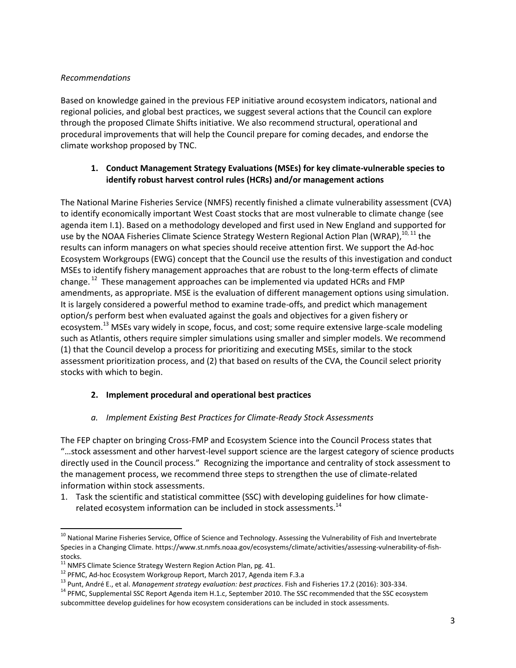#### *Recommendations*

Based on knowledge gained in the previous FEP initiative around ecosystem indicators, national and regional policies, and global best practices, we suggest several actions that the Council can explore through the proposed Climate Shifts initiative. We also recommend structural, operational and procedural improvements that will help the Council prepare for coming decades, and endorse the climate workshop proposed by TNC.

## **1. Conduct Management Strategy Evaluations (MSEs) for key climate-vulnerable species to identify robust harvest control rules (HCRs) and/or management actions**

The National Marine Fisheries Service (NMFS) recently finished a climate vulnerability assessment (CVA) to identify economically important West Coast stocks that are most vulnerable to climate change (see agenda item I.1). Based on a methodology developed and first used in New England and supported for use by the NOAA Fisheries Climate Science Strategy Western Regional Action Plan (WRAP),<sup>10, 11</sup> the results can inform managers on what species should receive attention first. We support the Ad-hoc Ecosystem Workgroups (EWG) concept that the Council use the results of this investigation and conduct MSEs to identify fishery management approaches that are robust to the long-term effects of climate change. <sup>12</sup> These management approaches can be implemented via updated HCRs and FMP amendments, as appropriate. MSE is the evaluation of different management options using simulation. It is largely considered a powerful method to examine trade-offs, and predict which management option/s perform best when evaluated against the goals and objectives for a given fishery or ecosystem.<sup>13</sup> MSEs vary widely in scope, focus, and cost; some require extensive large-scale modeling such as Atlantis, others require simpler simulations using smaller and simpler models. We recommend (1) that the Council develop a process for prioritizing and executing MSEs, similar to the stock assessment prioritization process, and (2) that based on results of the CVA, the Council select priority stocks with which to begin.

## **2. Implement procedural and operational best practices**

## *a. Implement Existing Best Practices for Climate-Ready Stock Assessments*

The FEP chapter on bringing Cross-FMP and Ecosystem Science into the Council Process states that "…stock assessment and other harvest-level support science are the largest category of science products directly used in the Council process." Recognizing the importance and centrality of stock assessment to the management process, we recommend three steps to strengthen the use of climate-related information within stock assessments.

1. Task the scientific and statistical committee (SSC) with developing guidelines for how climaterelated ecosystem information can be included in stock assessments.<sup>14</sup>

 $\overline{a}$ 

<sup>&</sup>lt;sup>10</sup> National Marine Fisheries Service, Office of Science and Technology. Assessing the Vulnerability of Fish and Invertebrate Species in a Changing Climate. https://www.st.nmfs.noaa.gov/ecosystems/climate/activities/assessing-vulnerability-of-fishstocks.

 $11$  NMFS Climate Science Strategy Western Region Action Plan, pg. 41.

<sup>12</sup> PFMC, Ad-hoc Ecosystem Workgroup Report, March 2017, Agenda item F.3.a

<sup>13</sup> Punt, André E., et al. *Management strategy evaluation: best practices*. Fish and Fisheries 17.2 (2016): 303-334.

<sup>&</sup>lt;sup>14</sup> PFMC, Supplemental SSC Report Agenda item H.1.c, September 2010. The SSC recommended that the SSC ecosystem subcommittee develop guidelines for how ecosystem considerations can be included in stock assessments.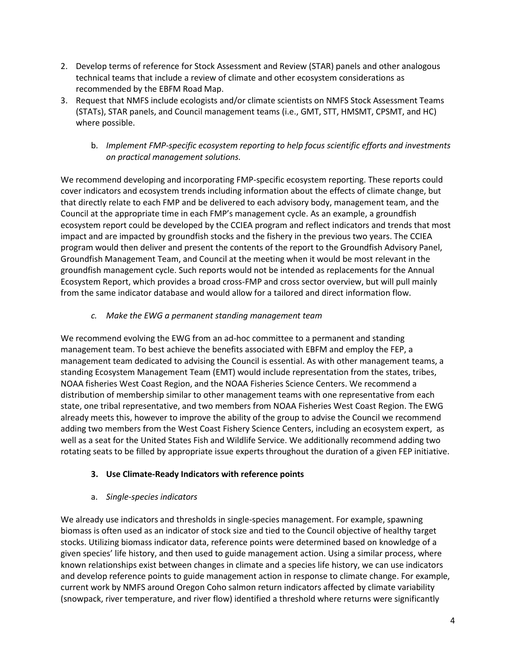- 2. Develop terms of reference for Stock Assessment and Review (STAR) panels and other analogous technical teams that include a review of climate and other ecosystem considerations as recommended by the EBFM Road Map.
- 3. Request that NMFS include ecologists and/or climate scientists on NMFS Stock Assessment Teams (STATs), STAR panels, and Council management teams (i.e., GMT, STT, HMSMT, CPSMT, and HC) where possible.
	- b. *Implement FMP-specific ecosystem reporting to help focus scientific efforts and investments on practical management solutions.*

We recommend developing and incorporating FMP-specific ecosystem reporting. These reports could cover indicators and ecosystem trends including information about the effects of climate change, but that directly relate to each FMP and be delivered to each advisory body, management team, and the Council at the appropriate time in each FMP's management cycle. As an example, a groundfish ecosystem report could be developed by the CCIEA program and reflect indicators and trends that most impact and are impacted by groundfish stocks and the fishery in the previous two years. The CCIEA program would then deliver and present the contents of the report to the Groundfish Advisory Panel, Groundfish Management Team, and Council at the meeting when it would be most relevant in the groundfish management cycle. Such reports would not be intended as replacements for the Annual Ecosystem Report, which provides a broad cross-FMP and cross sector overview, but will pull mainly from the same indicator database and would allow for a tailored and direct information flow.

*c. Make the EWG a permanent standing management team* 

We recommend evolving the EWG from an ad-hoc committee to a permanent and standing management team. To best achieve the benefits associated with EBFM and employ the FEP, a management team dedicated to advising the Council is essential. As with other management teams, a standing Ecosystem Management Team (EMT) would include representation from the states, tribes, NOAA fisheries West Coast Region, and the NOAA Fisheries Science Centers. We recommend a distribution of membership similar to other management teams with one representative from each state, one tribal representative, and two members from NOAA Fisheries West Coast Region. The EWG already meets this, however to improve the ability of the group to advise the Council we recommend adding two members from the West Coast Fishery Science Centers, including an ecosystem expert, as well as a seat for the United States Fish and Wildlife Service. We additionally recommend adding two rotating seats to be filled by appropriate issue experts throughout the duration of a given FEP initiative.

## **3. Use Climate-Ready Indicators with reference points**

## a. *Single-species indicators*

We already use indicators and thresholds in single-species management. For example, spawning biomass is often used as an indicator of stock size and tied to the Council objective of healthy target stocks. Utilizing biomass indicator data, reference points were determined based on knowledge of a given species' life history, and then used to guide management action. Using a similar process, where known relationships exist between changes in climate and a species life history, we can use indicators and develop reference points to guide management action in response to climate change. For example, current work by NMFS around Oregon Coho salmon return indicators affected by climate variability (snowpack, river temperature, and river flow) identified a threshold where returns were significantly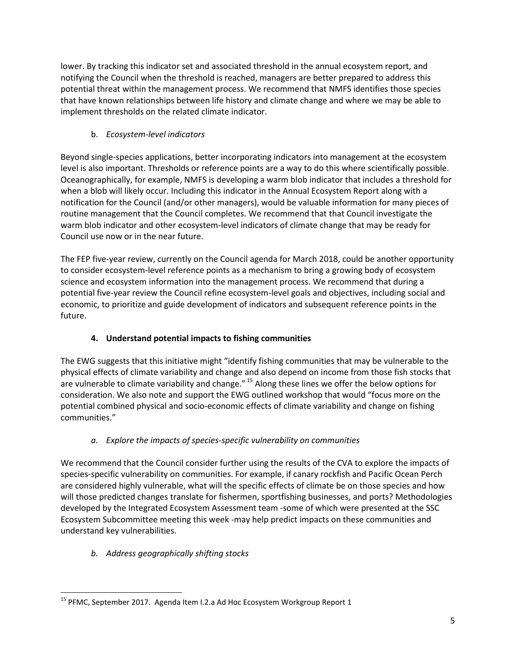lower. By tracking this indicator set and associated threshold in the annual ecosystem report, and notifying the Council when the threshold is reached, managers are better prepared to address this potential threat within the management process. We recommend that NMFS identifies those species that have known relationships between life history and climate change and where we may be able to implement thresholds on the related climate indicator.

# b. *Ecosystem-level indicators*

Beyond single-species applications, better incorporating indicators into management at the ecosystem level is also important. Thresholds or reference points are a way to do this where scientifically possible. Oceanographically, for example, NMFS is developing a warm blob indicator that includes a threshold for when a blob will likely occur. Including this indicator in the Annual Ecosystem Report along with a notification for the Council (and/or other managers), would be valuable information for many pieces of routine management that the Council completes. We recommend that that Council investigate the warm blob indicator and other ecosystem-level indicators of climate change that may be ready for Council use now or in the near future.

The FEP five-year review, currently on the Council agenda for March 2018, could be another opportunity to consider ecosystem-level reference points as a mechanism to bring a growing body of ecosystem science and ecosystem information into the management process. We recommend that during a potential five-year review the Council refine ecosystem-level goals and objectives, including social and economic, to prioritize and guide development of indicators and subsequent reference points in the future.

## **4. Understand potential impacts to fishing communities**

The EWG suggests that this initiative might "identify fishing communities that may be vulnerable to the physical effects of climate variability and change and also depend on income from those fish stocks that are vulnerable to climate variability and change." <sup>15</sup> Along these lines we offer the below options for consideration. We also note and support the EWG outlined workshop that would "focus more on the potential combined physical and socio-economic effects of climate variability and change on fishing communities."

## *a. Explore the impacts of species-specific vulnerability on communities*

We recommend that the Council consider further using the results of the CVA to explore the impacts of species-specific vulnerability on communities. For example, if canary rockfish and Pacific Ocean Perch are considered highly vulnerable, what will the specific effects of climate be on those species and how will those predicted changes translate for fishermen, sportfishing businesses, and ports? Methodologies developed by the Integrated Ecosystem Assessment team -some of which were presented at the SSC Ecosystem Subcommittee meeting this week -may help predict impacts on these communities and understand key vulnerabilities.

## *b. Address geographically shifting stocks*

 $\overline{\phantom{a}}$ <sup>15</sup> PFMC, September 2017. Agenda Item I.2.a Ad Hoc Ecosystem Workgroup Report 1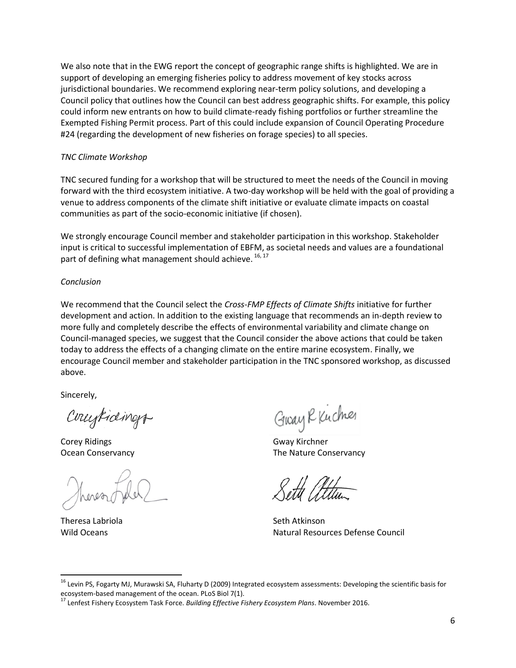We also note that in the EWG report the concept of geographic range shifts is highlighted. We are in support of developing an emerging fisheries policy to address movement of key stocks across jurisdictional boundaries. We recommend exploring near-term policy solutions, and developing a Council policy that outlines how the Council can best address geographic shifts. For example, this policy could inform new entrants on how to build climate-ready fishing portfolios or further streamline the Exempted Fishing Permit process. Part of this could include expansion of Council Operating Procedure #24 (regarding the development of new fisheries on forage species) to all species.

#### *TNC Climate Workshop*

TNC secured funding for a workshop that will be structured to meet the needs of the Council in moving forward with the third ecosystem initiative. A two-day workshop will be held with the goal of providing a venue to address components of the climate shift initiative or evaluate climate impacts on coastal communities as part of the socio-economic initiative (if chosen).

We strongly encourage Council member and stakeholder participation in this workshop. Stakeholder input is critical to successful implementation of EBFM, as societal needs and values are a foundational part of defining what management should achieve.  $^{16, 17}$ 

#### *Conclusion*

We recommend that the Council select the *Cross-FMP Effects of Climate Shifts* initiative for further development and action. In addition to the existing language that recommends an in-depth review to more fully and completely describe the effects of environmental variability and climate change on Council-managed species, we suggest that the Council consider the above actions that could be taken today to address the effects of a changing climate on the entire marine ecosystem. Finally, we encourage Council member and stakeholder participation in the TNC sponsored workshop, as discussed above.

Sincerely,

Conceptioning

Corey Ridings **Gway Kirchner** 

Theresa Labriola **Seth Atkinson** 

l

Guay R Kucher

Ocean Conservancy The Nature Conservancy

Wild Oceans **Natural Resources Defense Council** Natural Resources Defense Council

<sup>&</sup>lt;sup>16</sup> Levin PS, Fogarty MJ, Murawski SA, Fluharty D (2009) Integrated ecosystem assessments: Developing the scientific basis for ecosystem-based management of the ocean. PLoS Biol 7(1).

<sup>17</sup> Lenfest Fishery Ecosystem Task Force. *Building Effective Fishery Ecosystem Plans*. November 2016.